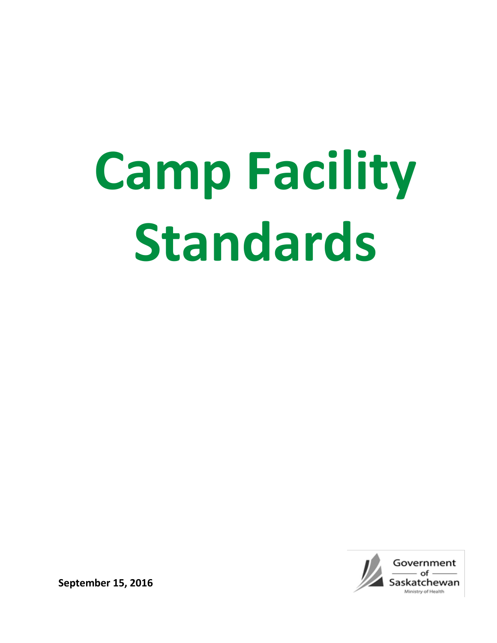# **Camp Facility Standards**



**September 15, 2016**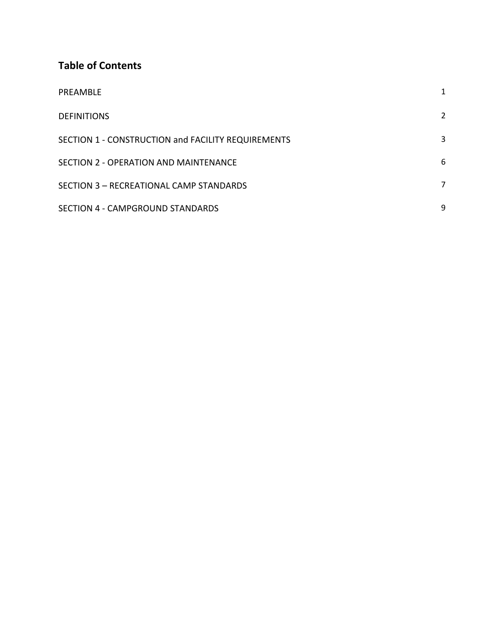# **Table of Contents**

| PREAMBLE                                           | 1 |
|----------------------------------------------------|---|
| <b>DEFINITIONS</b>                                 | 2 |
| SECTION 1 - CONSTRUCTION and FACILITY REQUIREMENTS | 3 |
| SECTION 2 - OPERATION AND MAINTENANCE              | 6 |
| SECTION 3 - RECREATIONAL CAMP STANDARDS            | 7 |
| SECTION 4 - CAMPGROUND STANDARDS                   | 9 |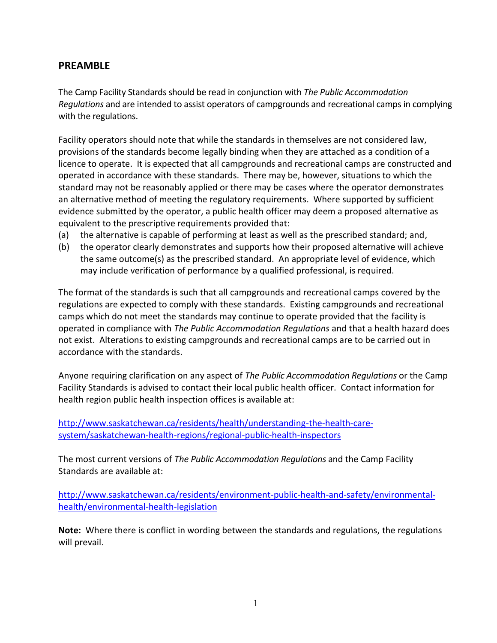# **PREAMBLE**

The Camp Facility Standards should be read in conjunction with *The Public Accommodation Regulations* and are intended to assist operators of campgrounds and recreational camps in complying with the regulations.

Facility operators should note that while the standards in themselves are not considered law, provisions of the standards become legally binding when they are attached as a condition of a licence to operate. It is expected that all campgrounds and recreational camps are constructed and operated in accordance with these standards. There may be, however, situations to which the standard may not be reasonably applied or there may be cases where the operator demonstrates an alternative method of meeting the regulatory requirements. Where supported by sufficient evidence submitted by the operator, a public health officer may deem a proposed alternative as equivalent to the prescriptive requirements provided that:

- (a) the alternative is capable of performing at least as well as the prescribed standard; and,
- (b) the operator clearly demonstrates and supports how their proposed alternative will achieve the same outcome(s) as the prescribed standard. An appropriate level of evidence, which may include verification of performance by a qualified professional, is required.

The format of the standards is such that all campgrounds and recreational camps covered by the regulations are expected to comply with these standards. Existing campgrounds and recreational camps which do not meet the standards may continue to operate provided that the facility is operated in compliance with *The Public Accommodation Regulations* and that a health hazard does not exist. Alterations to existing campgrounds and recreational camps are to be carried out in accordance with the standards.

Anyone requiring clarification on any aspect of *The Public Accommodation Regulations* or the Camp Facility Standards is advised to contact their local public health officer. Contact information for health region public health inspection offices is available at:

[http://www.saskatchewan.ca/residents/health/understanding-the-health-care](http://www.saskatchewan.ca/residents/health/understanding-the-health-care-system/saskatchewan-health-regions/regional-public-health-inspectors)[system/saskatchewan-health-regions/regional-public-health-inspectors](http://www.saskatchewan.ca/residents/health/understanding-the-health-care-system/saskatchewan-health-regions/regional-public-health-inspectors)

The most current versions of *The Public Accommodation Regulations* and the Camp Facility Standards are available at:

[http://www.saskatchewan.ca/residents/environment-public-health-and-safety/environmental](http://www.saskatchewan.ca/residents/environment-public-health-and-safety/environmental-health/environmental-health-legislation)[health/environmental-health-legislation](http://www.saskatchewan.ca/residents/environment-public-health-and-safety/environmental-health/environmental-health-legislation)

**Note:** Where there is conflict in wording between the standards and regulations, the regulations will prevail.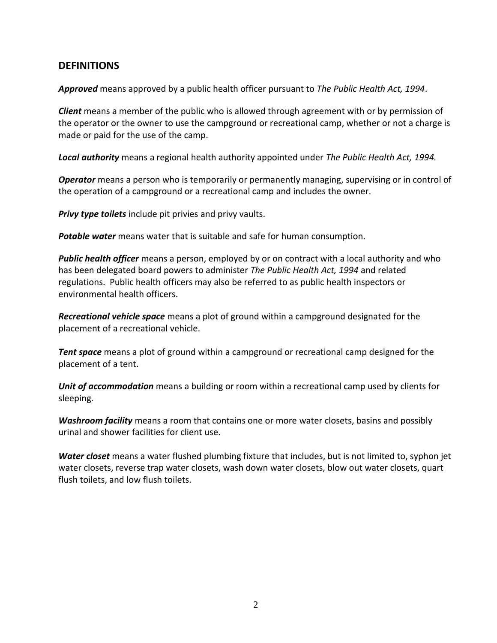# **DEFINITIONS**

*Approved* means approved by a public health officer pursuant to *The Public Health Act, 1994*.

*Client* means a member of the public who is allowed through agreement with or by permission of the operator or the owner to use the campground or recreational camp, whether or not a charge is made or paid for the use of the camp.

*Local authority* means a regional health authority appointed under *The Public Health Act, 1994.*

*Operator* means a person who is temporarily or permanently managing, supervising or in control of the operation of a campground or a recreational camp and includes the owner.

*Privy type toilets* include pit privies and privy vaults.

*Potable water* means water that is suitable and safe for human consumption.

*Public health officer* means a person, employed by or on contract with a local authority and who has been delegated board powers to administer *The Public Health Act, 1994* and related regulations. Public health officers may also be referred to as public health inspectors or environmental health officers.

*Recreational vehicle space* means a plot of ground within a campground designated for the placement of a recreational vehicle.

*Tent space* means a plot of ground within a campground or recreational camp designed for the placement of a tent.

*Unit of accommodation* means a building or room within a recreational camp used by clients for sleeping.

*Washroom facility* means a room that contains one or more water closets, basins and possibly urinal and shower facilities for client use.

*Water closet* means a water flushed plumbing fixture that includes, but is not limited to, syphon jet water closets, reverse trap water closets, wash down water closets, blow out water closets, quart flush toilets, and low flush toilets.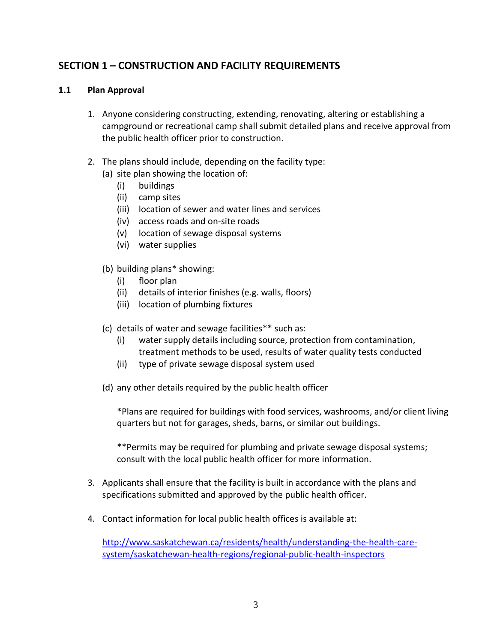# **SECTION 1 – CONSTRUCTION AND FACILITY REQUIREMENTS**

## **1.1 Plan Approval**

- 1. Anyone considering constructing, extending, renovating, altering or establishing a campground or recreational camp shall submit detailed plans and receive approval from the public health officer prior to construction.
- 2. The plans should include, depending on the facility type:
	- (a) site plan showing the location of:
		- (i) buildings
		- (ii) camp sites
		- (iii) location of sewer and water lines and services
		- (iv) access roads and on-site roads
		- (v) location of sewage disposal systems
		- (vi) water supplies
	- (b) building plans\* showing:
		- (i) floor plan
		- (ii) details of interior finishes (e.g. walls, floors)
		- (iii) location of plumbing fixtures
	- (c) details of water and sewage facilities\*\* such as:
		- (i) water supply details including source, protection from contamination, treatment methods to be used, results of water quality tests conducted
		- (ii) type of private sewage disposal system used
	- (d) any other details required by the public health officer

\*Plans are required for buildings with food services, washrooms, and/or client living quarters but not for garages, sheds, barns, or similar out buildings.

\*\*Permits may be required for plumbing and private sewage disposal systems; consult with the local public health officer for more information.

- 3. Applicants shall ensure that the facility is built in accordance with the plans and specifications submitted and approved by the public health officer.
- 4. Contact information for local public health offices is available at:

[http://www.saskatchewan.ca/residents/health/understanding-the-health-care](http://www.saskatchewan.ca/residents/health/understanding-the-health-care-system/saskatchewan-health-regions/regional-public-health-inspectors)[system/saskatchewan-health-regions/regional-public-health-inspectors](http://www.saskatchewan.ca/residents/health/understanding-the-health-care-system/saskatchewan-health-regions/regional-public-health-inspectors)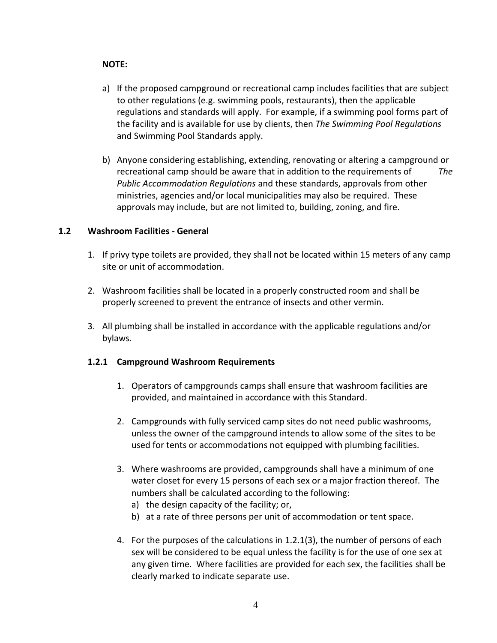## **NOTE:**

- a) If the proposed campground or recreational camp includes facilities that are subject to other regulations (e.g. swimming pools, restaurants), then the applicable regulations and standards will apply. For example, if a swimming pool forms part of the facility and is available for use by clients, then *The Swimming Pool Regulations* and Swimming Pool Standards apply.
- b) Anyone considering establishing, extending, renovating or altering a campground or recreational camp should be aware that in addition to the requirements of *The Public Accommodation Regulations* and these standards, approvals from other ministries, agencies and/or local municipalities may also be required. These approvals may include, but are not limited to, building, zoning, and fire.

## **1.2 Washroom Facilities - General**

- 1. If privy type toilets are provided, they shall not be located within 15 meters of any camp site or unit of accommodation.
- 2. Washroom facilities shall be located in a properly constructed room and shall be properly screened to prevent the entrance of insects and other vermin.
- 3. All plumbing shall be installed in accordance with the applicable regulations and/or bylaws.

## **1.2.1 Campground Washroom Requirements**

- 1. Operators of campgrounds camps shall ensure that washroom facilities are provided, and maintained in accordance with this Standard.
- 2. Campgrounds with fully serviced camp sites do not need public washrooms, unless the owner of the campground intends to allow some of the sites to be used for tents or accommodations not equipped with plumbing facilities.
- 3. Where washrooms are provided, campgrounds shall have a minimum of one water closet for every 15 persons of each sex or a major fraction thereof. The numbers shall be calculated according to the following:
	- a) the design capacity of the facility; or,
	- b) at a rate of three persons per unit of accommodation or tent space.
- 4. For the purposes of the calculations in 1.2.1(3), the number of persons of each sex will be considered to be equal unless the facility is for the use of one sex at any given time. Where facilities are provided for each sex, the facilities shall be clearly marked to indicate separate use.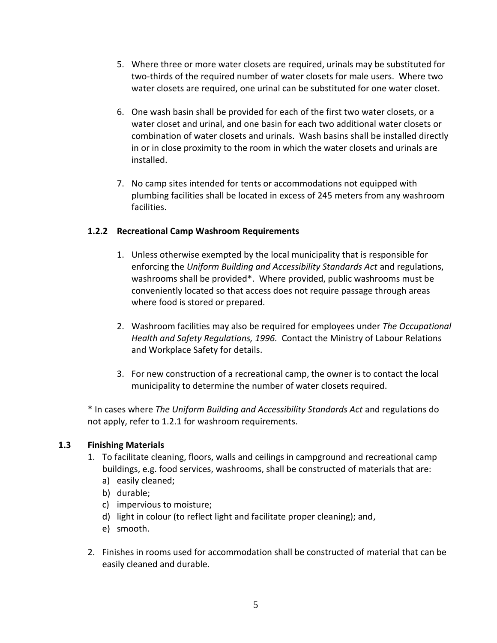- 5. Where three or more water closets are required, urinals may be substituted for two-thirds of the required number of water closets for male users. Where two water closets are required, one urinal can be substituted for one water closet.
- 6. One wash basin shall be provided for each of the first two water closets, or a water closet and urinal, and one basin for each two additional water closets or combination of water closets and urinals. Wash basins shall be installed directly in or in close proximity to the room in which the water closets and urinals are installed.
- 7. No camp sites intended for tents or accommodations not equipped with plumbing facilities shall be located in excess of 245 meters from any washroom facilities.

# **1.2.2 Recreational Camp Washroom Requirements**

- 1. Unless otherwise exempted by the local municipality that is responsible for enforcing the *Uniform Building and Accessibility Standards Act* and regulations, washrooms shall be provided\*. Where provided, public washrooms must be conveniently located so that access does not require passage through areas where food is stored or prepared.
- 2. Washroom facilities may also be required for employees under *The Occupational Health and Safety Regulations, 1996.* Contact the Ministry of Labour Relations and Workplace Safety for details.
- 3. For new construction of a recreational camp, the owner is to contact the local municipality to determine the number of water closets required.

\* In cases where *The Uniform Building and Accessibility Standards Act* and regulations do not apply, refer to 1.2.1 for washroom requirements.

## **1.3 Finishing Materials**

- 1. To facilitate cleaning, floors, walls and ceilings in campground and recreational camp buildings, e.g. food services, washrooms, shall be constructed of materials that are:
	- a) easily cleaned;
	- b) durable;
	- c) impervious to moisture;
	- d) light in colour (to reflect light and facilitate proper cleaning); and,
	- e) smooth.
- 2. Finishes in rooms used for accommodation shall be constructed of material that can be easily cleaned and durable.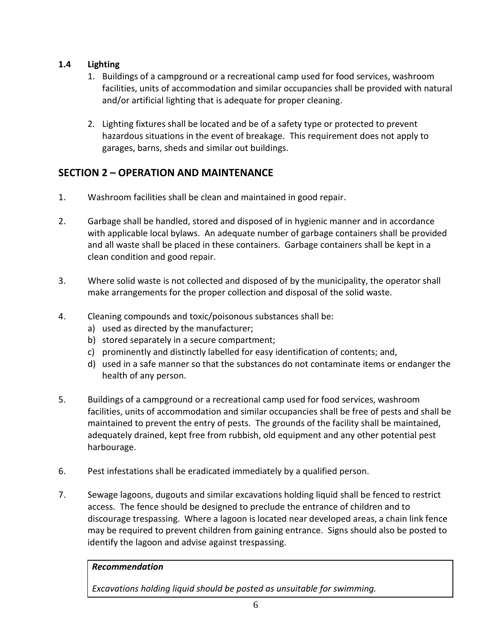# **1.4 Lighting**

- 1. Buildings of a campground or a recreational camp used for food services, washroom facilities, units of accommodation and similar occupancies shall be provided with natural and/or artificial lighting that is adequate for proper cleaning.
- 2. Lighting fixtures shall be located and be of a safety type or protected to prevent hazardous situations in the event of breakage. This requirement does not apply to garages, barns, sheds and similar out buildings.

# **SECTION 2 – OPERATION AND MAINTENANCE**

- 1. Washroom facilities shall be clean and maintained in good repair.
- 2. Garbage shall be handled, stored and disposed of in hygienic manner and in accordance with applicable local bylaws. An adequate number of garbage containers shall be provided and all waste shall be placed in these containers. Garbage containers shall be kept in a clean condition and good repair.
- 3. Where solid waste is not collected and disposed of by the municipality, the operator shall make arrangements for the proper collection and disposal of the solid waste.
- 4. Cleaning compounds and toxic/poisonous substances shall be:
	- a) used as directed by the manufacturer;
	- b) stored separately in a secure compartment;
	- c) prominently and distinctly labelled for easy identification of contents; and,
	- d) used in a safe manner so that the substances do not contaminate items or endanger the health of any person.
- 5. Buildings of a campground or a recreational camp used for food services, washroom facilities, units of accommodation and similar occupancies shall be free of pests and shall be maintained to prevent the entry of pests. The grounds of the facility shall be maintained, adequately drained, kept free from rubbish, old equipment and any other potential pest harbourage.
- 6. Pest infestations shall be eradicated immediately by a qualified person.
- 7. Sewage lagoons, dugouts and similar excavations holding liquid shall be fenced to restrict access. The fence should be designed to preclude the entrance of children and to discourage trespassing. Where a lagoon is located near developed areas, a chain link fence may be required to prevent children from gaining entrance. Signs should also be posted to identify the lagoon and advise against trespassing.

## *Recommendation*

*Excavations holding liquid should be posted as unsuitable for swimming.*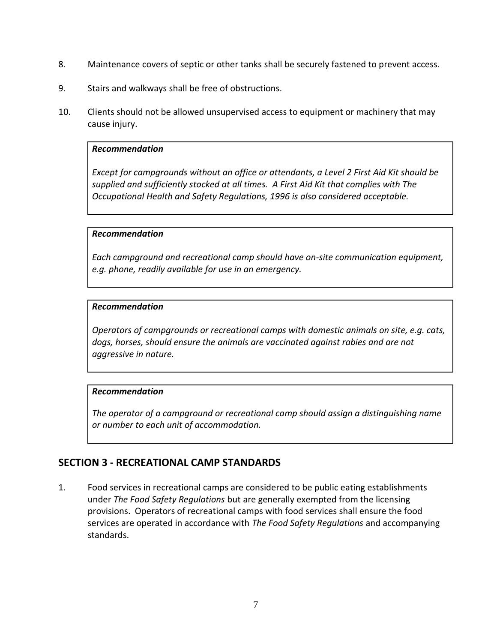- 8. Maintenance covers of septic or other tanks shall be securely fastened to prevent access.
- 9. Stairs and walkways shall be free of obstructions.
- 10. Clients should not be allowed unsupervised access to equipment or machinery that may cause injury.

#### *Recommendation*

*Except for campgrounds without an office or attendants, a Level 2 First Aid Kit should be supplied and sufficiently stocked at all times. A First Aid Kit that complies with The Occupational Health and Safety Regulations, 1996 is also considered acceptable.*

## *Recommendation*

*Each campground and recreational camp should have on-site communication equipment, e.g. phone, readily available for use in an emergency.*

#### *Recommendation*

*Operators of campgrounds or recreational camps with domestic animals on site, e.g. cats, dogs, horses, should ensure the animals are vaccinated against rabies and are not aggressive in nature.*

## *Recommendation*

*The operator of a campground or recreational camp should assign a distinguishing name or number to each unit of accommodation.*

## **SECTION 3 - RECREATIONAL CAMP STANDARDS**

1. Food services in recreational camps are considered to be public eating establishments under *The Food Safety Regulations* but are generally exempted from the licensing provisions. Operators of recreational camps with food services shall ensure the food services are operated in accordance with *The Food Safety Regulations* and accompanying standards.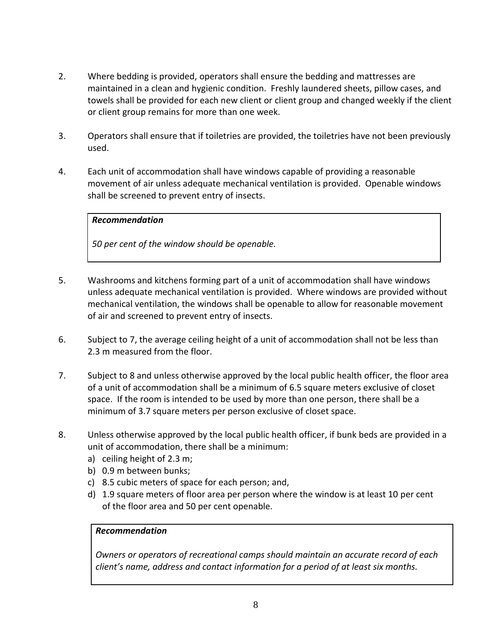- 2. Where bedding is provided, operators shall ensure the bedding and mattresses are maintained in a clean and hygienic condition. Freshly laundered sheets, pillow cases, and towels shall be provided for each new client or client group and changed weekly if the client or client group remains for more than one week.
- 3. Operators shall ensure that if toiletries are provided, the toiletries have not been previously used.
- 4. Each unit of accommodation shall have windows capable of providing a reasonable movement of air unless adequate mechanical ventilation is provided. Openable windows shall be screened to prevent entry of insects.

## *Recommendation*

*50 per cent of the window should be openable.*

- 5. Washrooms and kitchens forming part of a unit of accommodation shall have windows unless adequate mechanical ventilation is provided. Where windows are provided without mechanical ventilation, the windows shall be openable to allow for reasonable movement of air and screened to prevent entry of insects.
- 6. Subject to 7, the average ceiling height of a unit of accommodation shall not be less than 2.3 m measured from the floor.
- 7. Subject to 8 and unless otherwise approved by the local public health officer, the floor area of a unit of accommodation shall be a minimum of 6.5 square meters exclusive of closet space. If the room is intended to be used by more than one person, there shall be a minimum of 3.7 square meters per person exclusive of closet space.
- 8. Unless otherwise approved by the local public health officer, if bunk beds are provided in a unit of accommodation, there shall be a minimum:
	- a) ceiling height of 2.3 m;
	- b) 0.9 m between bunks;
	- c) 8.5 cubic meters of space for each person; and,
	- d) 1.9 square meters of floor area per person where the window is at least 10 per cent of the floor area and 50 per cent openable.

## *Recommendation*

*Owners or operators of recreational camps should maintain an accurate record of each client's name, address and contact information for a period of at least six months.*